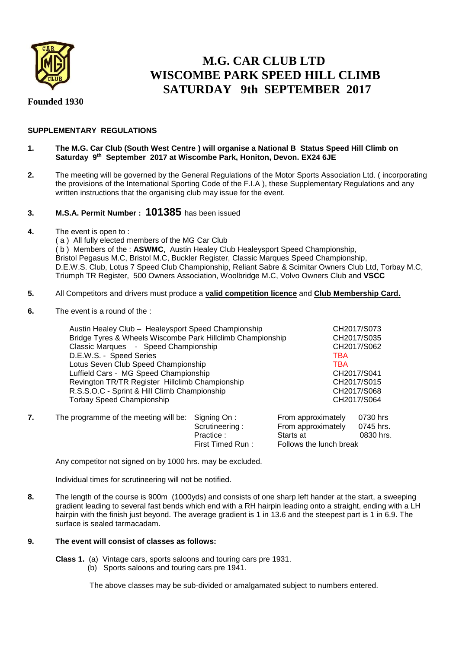

# **M.G. CAR CLUB LTD WISCOMBE PARK SPEED HILL CLIMB SATURDAY 9th SEPTEMBER 2017**

**Founded 1930** 

## **SUPPLEMENTARY REGULATIONS**

## **1. The M.G. Car Club (South West Centre ) will organise a National B Status Speed Hill Climb on Saturday 9 th September 2017 at Wiscombe Park, Honiton, Devon. EX24 6JE**

**2.** The meeting will be governed by the General Regulations of the Motor Sports Association Ltd. ( incorporating the provisions of the International Sporting Code of the F.I.A ), these Supplementary Regulations and any written instructions that the organising club may issue for the event.

## **3. M.S.A. Permit Number : 101385** has been issued

**4.** The event is open to : ( a ) All fully elected members of the MG Car Club ( b ) Members of the : **ASWMC**, Austin Healey Club Healeysport Speed Championship, Bristol Pegasus M.C, Bristol M.C, Buckler Register, Classic Marques Speed Championship, D.E.W.S. Club, Lotus 7 Speed Club Championship, Reliant Sabre & Scimitar Owners Club Ltd, Torbay M.C, Triumph TR Register, 500 Owners Association, Woolbridge M.C, Volvo Owners Club and **VSCC**

## **5.** All Competitors and drivers must produce a **valid competition licence** and **Club Membership Card.**

**6.** The event is a round of the :

| Austin Healey Club - Healeysport Speed Championship        | CH2017/S073                    |
|------------------------------------------------------------|--------------------------------|
| Bridge Tyres & Wheels Wiscombe Park Hillclimb Championship | CH2017/S035                    |
| Classic Marques - Speed Championship                       | CH2017/S062                    |
| D.E.W.S. - Speed Series                                    | <b>TBA</b>                     |
| Lotus Seven Club Speed Championship                        | <b>TBA</b>                     |
| Luffield Cars - MG Speed Championship                      | CH2017/S041                    |
| Revington TR/TR Register Hillclimb Championship            | CH2017/S015                    |
| R.S.S.O.C - Sprint & Hill Climb Championship               | CH2017/S068                    |
| <b>Torbay Speed Championship</b>                           | CH2017/S064                    |
|                                                            |                                |
| ne programme of the meeting will be: Signing On :          | From approximately<br>0730 hrs |

**7.** The programme of the meeting will be: Signing On : From approximately 0730 hrs Scrutineering : From approximately 0745 hrs.<br>Practice : Starts at 0830 hrs. Practice :<br>First Timed Run : Follows the lunch break

Any competitor not signed on by 1000 hrs. may be excluded.

Individual times for scrutineering will not be notified.

**8.** The length of the course is 900m (1000yds) and consists of one sharp left hander at the start, a sweeping gradient leading to several fast bends which end with a RH hairpin leading onto a straight, ending with a LH hairpin with the finish just beyond. The average gradient is 1 in 13.6 and the steepest part is 1 in 6.9. The surface is sealed tarmacadam.

## **9. The event will consist of classes as follows:**

**Class 1.** (a) Vintage cars, sports saloons and touring cars pre 1931.

(b) Sports saloons and touring cars pre 1941.

The above classes may be sub-divided or amalgamated subject to numbers entered.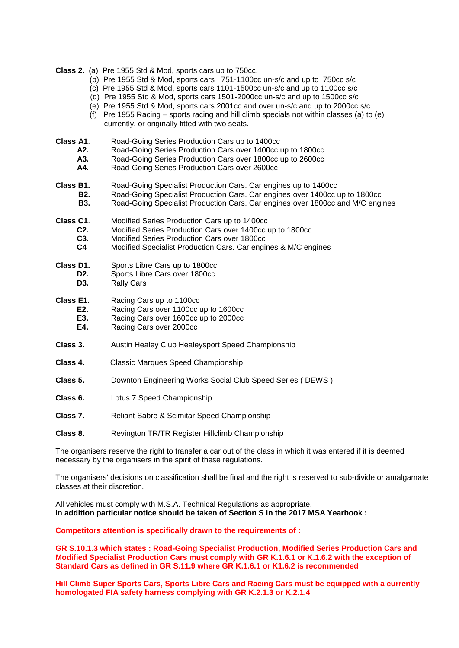**Class 2.** (a) Pre 1955 Std & Mod, sports cars up to 750cc.

- (b) Pre 1955 Std & Mod, sports cars 751-1100cc un-s/c and up to 750cc s/c
- (c) Pre 1955 Std & Mod, sports cars 1101-1500cc un-s/c and up to 1100cc s/c
- (d) Pre 1955 Std & Mod, sports cars 1501-2000cc un-s/c and up to 1500cc s/c
- (e) Pre 1955 Std & Mod, sports cars 2001cc and over un-s/c and up to 2000cc s/c
- (f) Pre 1955 Racing sports racing and hill climb specials not within classes (a) to (e) currently, or originally fitted with two seats.
- **Class A1.** Road-Going Series Production Cars up to 1400cc<br>**A2.** Road-Going Series Production Cars over 1400cc in
	- **A2.** Road-Going Series Production Cars over 1400cc up to 1800cc
	- **A3.** Road-Going Series Production Cars over 1800cc up to 2600cc<br>**A4.** Road-Going Series Production Cars over 2600cc
	- Road-Going Series Production Cars over 2600cc
- **Class B1.** Road-Going Specialist Production Cars. Car engines up to 1400cc
	- **B2.** Road-Going Specialist Production Cars. Car engines over 1400cc up to 1800cc
		- **B3.** Road-Going Specialist Production Cars. Car engines over 1800cc and M/C engines
- **Class C1**. Modified Series Production Cars up to 1400cc
	- **C2.** Modified Series Production Cars over 1400cc up to 1800cc
	- **C3.** Modified Series Production Cars over 1800cc<br> **C4** Modified Specialist Production Cars Carengi
		- **C4** Modified Specialist Production Cars. Car engines & M/C engines
- **Class D1.** Sports Libre Cars up to 1800cc
	- **D2.** Sports Libre Cars over 1800cc
		- **D3.** Rally Cars

**Class E1.** Racing Cars up to 1100cc

- **E2.** Racing Cars over 1100cc up to 1600cc<br>**E3.** Racing Cars over 1600cc up to 2000cc
- **E3.** Racing Cars over 1600cc up to 2000cc<br>**E4.** Racing Cars over 2000cc
- **Racing Cars over 2000cc**
- **Class 3.** Austin Healey Club Healeysport Speed Championship
- **Class 4.** Classic Marques Speed Championship
- **Class 5.** Downton Engineering Works Social Club Speed Series ( DEWS )
- **Class 6.** Lotus 7 Speed Championship
- **Class 7.** Reliant Sabre & Scimitar Speed Championship
- **Class 8.** Revington TR/TR Register Hillclimb Championship

The organisers reserve the right to transfer a car out of the class in which it was entered if it is deemed necessary by the organisers in the spirit of these regulations.

The organisers' decisions on classification shall be final and the right is reserved to sub-divide or amalgamate classes at their discretion.

All vehicles must comply with M.S.A. Technical Regulations as appropriate. **In addition particular notice should be taken of Section S in the 2017 MSA Yearbook :**

**Competitors attention is specifically drawn to the requirements of :**

**GR S.10.1.3 which states : Road-Going Specialist Production, Modified Series Production Cars and Modified Specialist Production Cars must comply with GR K.1.6.1 or K.1.6.2 with the exception of Standard Cars as defined in GR S.11.9 where GR K.1.6.1 or K1.6.2 is recommended**

**Hill Climb Super Sports Cars, Sports Libre Cars and Racing Cars must be equipped with a currently homologated FIA safety harness complying with GR K.2.1.3 or K.2.1.4**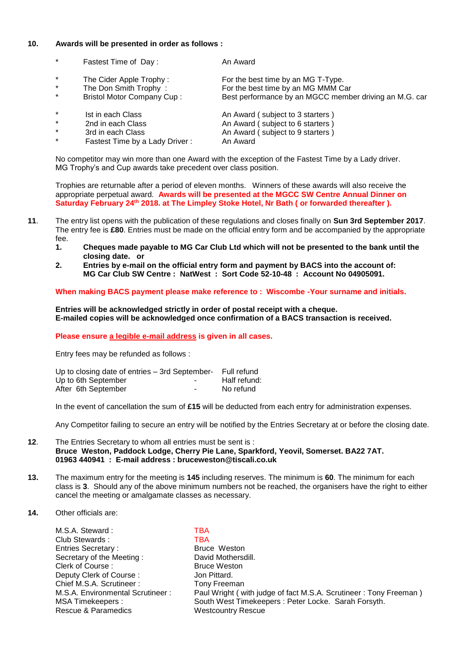#### **10. Awards will be presented in order as follows :**

- \* Fastest Time of Day : An Award \* The Cider Apple Trophy : For the best time by an MG T-Type.
- 
- 
- 
- 
- 
- Fastest Time by a Lady Driver :

The Don Smith Trophy : For the best time by an MG MMM Car<br>Bristol Motor Company Cup : Best performance by an MGCC memb Best performance by an MGCC member driving an M.G. car

Ist in each Class **An Award ( subject to 3 starters )**<br>
2nd in each Class **An Award ( subject to 6 starters )** 2nd in each Class 2nd in each Class 2nd in each Class 2nd in each Class 2nd in each Class 2nd in each Class 2nd in each Class 2nd in each Class 2nd in each Class 2nd in each Class 2nd in each Class 2nd in each Class 2nd in An Award ( subject to 9 starters )<br>An Award

No competitor may win more than one Award with the exception of the Fastest Time by a Lady driver. MG Trophy's and Cup awards take precedent over class position.

Trophies are returnable after a period of eleven months. Winners of these awards will also receive the appropriate perpetual award. **Awards will be presented at the MGCC SW Centre Annual Dinner on Saturday February 24th 2018. at The Limpley Stoke Hotel, Nr Bath ( or forwarded thereafter ).** 

- **11**. The entry list opens with the publication of these regulations and closes finally on **Sun 3rd September 2017**. The entry fee is **£80**. Entries must be made on the official entry form and be accompanied by the appropriate fee.<br>1.
	- **1. Cheques made payable to MG Car Club Ltd which will not be presented to the bank until the closing date. or**
	- **2. Entries by e-mail on the official entry form and payment by BACS into the account of: MG Car Club SW Centre : NatWest : Sort Code 52-10-48 : Account No 04905091.**

**When making BACS payment please make reference to : Wiscombe -Your surname and initials.** 

**Entries will be acknowledged strictly in order of postal receipt with a cheque. E-mailed copies will be acknowledged once confirmation of a BACS transaction is received.**

**Please ensure a legible e-mail address is given in all cases.**

Entry fees may be refunded as follows :

| Up to closing date of entries – 3rd September- Full refund |                          |              |
|------------------------------------------------------------|--------------------------|--------------|
| Up to 6th September                                        | $\overline{\phantom{a}}$ | Half refund: |
| After 6th September                                        | ٠                        | No refund    |

In the event of cancellation the sum of **£15** will be deducted from each entry for administration expenses.

Any Competitor failing to secure an entry will be notified by the Entries Secretary at or before the closing date.

#### **12**. The Entries Secretary to whom all entries must be sent is : **Bruce Weston, Paddock Lodge, Cherry Pie Lane, Sparkford, Yeovil, Somerset. BA22 7AT. 01963 440941 : E-mail address : bruceweston@tiscali.co.uk**

- **13.** The maximum entry for the meeting is **145** including reserves. The minimum is **60**. The minimum for each class is **3**. Should any of the above minimum numbers not be reached, the organisers have the right to either cancel the meeting or amalgamate classes as necessary.
- **14.** Other officials are:

M.S.A. Steward : TBA Club Stewards : TBA<br>
Entries Secretary : The Bruce Weston Entries Secretary : Secretary of the Meeting : David Mothersdill. Clerk of Course : Bruce Weston Deputy Clerk of Course : Jon Pittard. Chief M.S.A. Scrutineer : Tony Freeman<br>M.S.A. Environmental Scrutineer : Paul Wright (w Rescue & Paramedics Westcountry Rescue

M.S.A. Environmental Scrutineer : Paul Wright ( with judge of fact M.S.A. Scrutineer : Tony Freeman )<br>MSA Timekeepers : South West Timekeepers : Peter Locke. Sarah Forsyth. South West Timekeepers : Peter Locke. Sarah Forsyth.